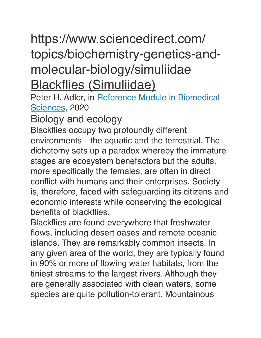# https://www.sciencedirect.com/ topics/biochemistry-genetics-andmolecular-biology/simuliidae [Blackflies \(Simuliidae\)](https://www.sciencedirect.com/science/article/pii/B9780128187319000069)

Peter H. Adler, in [Reference Module in Biomedical](https://www.sciencedirect.com/referencework/9780128012383/reference-module-in-biomedical-sciences)  [Sciences](https://www.sciencedirect.com/referencework/9780128012383/reference-module-in-biomedical-sciences), 2020

# Biology and ecology

Blackflies occupy two profoundly different environments—the aquatic and the terrestrial. The dichotomy sets up a paradox whereby the immature stages are ecosystem benefactors but the adults, more specifically the females, are often in direct conflict with humans and their enterprises. Society is, therefore, faced with safeguarding its citizens and economic interests while conserving the ecological benefits of blackflies.

Blackflies are found everywhere that freshwater flows, including desert oases and remote oceanic islands. They are remarkably common insects. In any given area of the world, they are typically found in 90% or more of flowing water habitats, from the tiniest streams to the largest rivers. Although they are generally associated with clean waters, some species are quite pollution-tolerant. Mountainous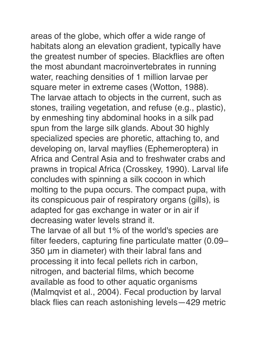areas of the globe, which offer a wide range of habitats along an elevation gradient, typically have the greatest number of species. Blackflies are often the most abundant macroinvertebrates in running water, reaching densities of 1 million larvae per square meter in extreme cases (Wotton, 1988). The larvae attach to objects in the current, such as stones, trailing vegetation, and refuse (e.g., plastic), by enmeshing tiny abdominal hooks in a silk pad spun from the large silk glands. About 30 highly specialized species are phoretic, attaching to, and

developing on, larval mayflies (Ephemeroptera) in Africa and Central Asia and to freshwater crabs and prawns in tropical Africa (Crosskey, 1990). Larval life concludes with spinning a silk cocoon in which molting to the pupa occurs. The compact pupa, with its conspicuous pair of respiratory organs (gills), is adapted for gas exchange in water or in air if decreasing water levels strand it.

The larvae of all but 1% of the world's species are filter feeders, capturing fine particulate matter (0.09– 350 μm in diameter) with their labral fans and processing it into fecal pellets rich in carbon, nitrogen, and bacterial films, which become available as food to other aquatic organisms (Malmqvist et al., 2004). Fecal production by larval black flies can reach astonishing levels—429 metric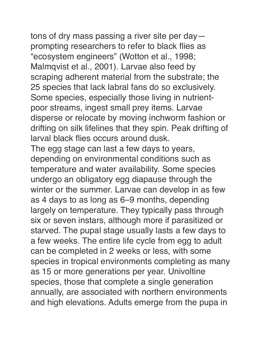tons of dry mass passing a river site per day—

prompting researchers to refer to black flies as "ecosystem engineers" (Wotton et al., 1998; Malmqvist et al., 2001). Larvae also feed by scraping adherent material from the substrate; the 25 species that lack labral fans do so exclusively. Some species, especially those living in nutrientpoor streams, ingest small prey items. Larvae disperse or relocate by moving inchworm fashion or drifting on silk lifelines that they spin. Peak drifting of larval black flies occurs around dusk.

The egg stage can last a few days to years, depending on environmental conditions such as temperature and water availability. Some species undergo an obligatory egg diapause through the winter or the summer. Larvae can develop in as few as 4 days to as long as 6–9 months, depending largely on temperature. They typically pass through six or seven instars, although more if parasitized or starved. The pupal stage usually lasts a few days to a few weeks. The entire life cycle from egg to adult can be completed in 2 weeks or less, with some species in tropical environments completing as many as 15 or more generations per year. Univoltine species, those that complete a single generation annually, are associated with northern environments and high elevations. Adults emerge from the pupa in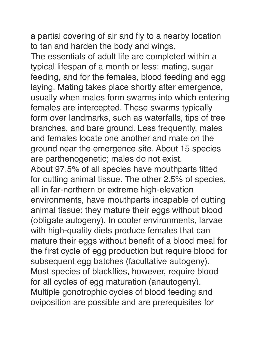a partial covering of air and fly to a nearby location to tan and harden the body and wings. The essentials of adult life are completed within a typical lifespan of a month or less: mating, sugar feeding, and for the females, blood feeding and egg laying. Mating takes place shortly after emergence, usually when males form swarms into which entering females are intercepted. These swarms typically form over landmarks, such as waterfalls, tips of tree branches, and bare ground. Less frequently, males and females locate one another and mate on the ground near the emergence site. About 15 species are parthenogenetic; males do not exist. About 97.5% of all species have mouthparts fitted for cutting animal tissue. The other 2.5% of species, all in far-northern or extreme high-elevation environments, have mouthparts incapable of cutting animal tissue; they mature their eggs without blood (obligate autogeny). In cooler environments, larvae with high-quality diets produce females that can mature their eggs without benefit of a blood meal for the first cycle of egg production but require blood for subsequent egg batches (facultative autogeny). Most species of blackflies, however, require blood for all cycles of egg maturation (anautogeny). Multiple gonotrophic cycles of blood feeding and oviposition are possible and are prerequisites for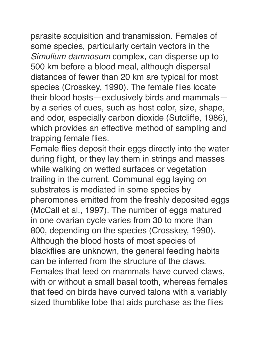parasite acquisition and transmission. Females of some species, particularly certain vectors in the *Simulium damnosum* complex, can disperse up to 500 km before a blood meal, although dispersal distances of fewer than 20 km are typical for most species (Crosskey, 1990). The female flies locate their blood hosts—exclusively birds and mammals by a series of cues, such as host color, size, shape, and odor, especially carbon dioxide (Sutcliffe, 1986), which provides an effective method of sampling and trapping female flies.

Female flies deposit their eggs directly into the water during flight, or they lay them in strings and masses while walking on wetted surfaces or vegetation trailing in the current. Communal egg laying on substrates is mediated in some species by pheromones emitted from the freshly deposited eggs (McCall et al., 1997). The number of eggs matured in one ovarian cycle varies from 30 to more than 800, depending on the species (Crosskey, 1990). Although the blood hosts of most species of blackflies are unknown, the general feeding habits can be inferred from the structure of the claws. Females that feed on mammals have curved claws, with or without a small basal tooth, whereas females that feed on birds have curved talons with a variably sized thumblike lobe that aids purchase as the flies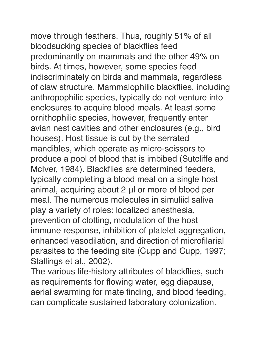move through feathers. Thus, roughly 51% of all bloodsucking species of blackflies feed predominantly on mammals and the other 49% on birds. At times, however, some species feed indiscriminately on birds and mammals, regardless of claw structure. Mammalophilic blackflies, including anthropophilic species, typically do not venture into enclosures to acquire blood meals. At least some ornithophilic species, however, frequently enter avian nest cavities and other enclosures (e.g., bird houses). Host tissue is cut by the serrated mandibles, which operate as micro-scissors to produce a pool of blood that is imbibed (Sutcliffe and McIver, 1984). Blackflies are determined feeders, typically completing a blood meal on a single host

animal, acquiring about 2 μl or more of blood per meal. The numerous molecules in simuliid saliva play a variety of roles: localized anesthesia, prevention of clotting, modulation of the host immune response, inhibition of platelet aggregation, enhanced vasodilation, and direction of microfilarial parasites to the feeding site (Cupp and Cupp, 1997; Stallings et al., 2002).

The various life-history attributes of blackflies, such as requirements for flowing water, egg diapause, aerial swarming for mate finding, and blood feeding, can complicate sustained laboratory colonization.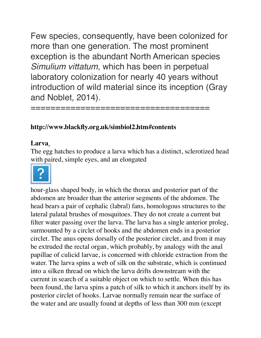Few species, consequently, have been colonized for more than one generation. The most prominent exception is the abundant North American species *Simulium vittatum*, which has been in perpetual laboratory colonization for nearly 40 years without introduction of wild material since its inception (Gray and Noblet, 2014).

#### **http://www.blackfly.org.uk/simbiol2.htm#contents**

======================

#### **Larva**

The egg hatches to produce a larva which has a distinct, sclerotized head with paired, simple eyes, and an elongated



hour-glass shaped body, in which the thorax and posterior part of the abdomen are broader than the anterior segments of the abdomen. The head bears a pair of cephalic (labral) fans, homologous structures to the lateral palatal brushes of mosquitoes. They do not create a current but filter water passing over the larva. The larva has a single anterior proleg, surmounted by a circlet of hooks and the abdomen ends in a posterior circlet. The anus opens dorsally of the posterior circlet, and from it may be extruded the rectal organ, which probably, by analogy with the anal papillae of culicid larvae, is concerned with chloride extraction from the water. The larva spins a web of silk on the substrate, which is continued into a silken thread on which the larva drifts downstream with the current in search of a suitable object on which to settle. When this has been found, the larva spins a patch of silk to which it anchors itself by its posterior circlet of hooks. Larvae normally remain near the surface of the water and are usually found at depths of less than 300 mm (except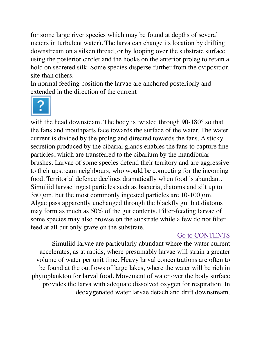for some large river species which may be found at depths of several meters in turbulent water). The larva can change its location by drifting downstream on a silken thread, or by looping over the substrate surface using the posterior circlet and the hooks on the anterior proleg to retain a hold on secreted silk. Some species disperse further from the oviposition site than others.

In normal feeding position the larvae are anchored posteriorly and extended in the direction of the current



with the head downsteam. The body is twisted through 90-180° so that the fans and mouthparts face towards the surface of the water. The water current is divided by the proleg and directed towards the fans. A sticky secretion produced by the cibarial glands enables the fans to capture fine particles, which are transferred to the cibarium by the mandibular brushes. Larvae of some species defend their territory and are aggressive to their upstream neighbours, who would be competing for the incoming food. Territorial defence declines dramatically when food is abundant. Simuliid larvae ingest particles such as bacteria, diatoms and silt up to 350  $\mu$ m, but the most commonly ingested particles are 10-100  $\mu$ m. Algae pass apparently unchanged through the blackfly gut but diatoms may form as much as 50% of the gut contents. Filter-feeding larvae of some species may also browse on the substrate while a few do not filter feed at all but only graze on the substrate.

#### Go to CONTENTS

Simuliid larvae are particularly abundant where the water current accelerates, as at rapids, where presumably larvae will strain a greater volume of water per unit time. Heavy larval concentrations are often to be found at the outflows of large lakes, where the water will be rich in phytoplankton for larval food. Movement of water over the body surface provides the larva with adequate dissolved oxygen for respiration. In deoxygenated water larvae detach and drift downstream.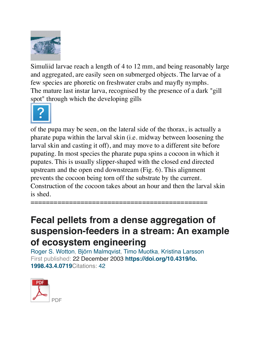

Simuliid larvae reach a length of 4 to 12 mm, and being reasonably large and aggregated, are easily seen on submerged objects. The larvae of a few species are phoretic on freshwater crabs and mayfly nymphs. The mature last instar larva, recognised by the presence of a dark "gill spot" through which the developing gills



of the pupa may be seen, on the lateral side of the thorax, is actually a pharate pupa within the larval skin (i.e. midway between loosening the larval skin and casting it off), and may move to a different site before pupating. In most species the pharate pupa spins a cocoon in which it pupates. This is usually slipper-shaped with the closed end directed upstream and the open end downstream (Fig. 6). This alignment prevents the cocoon being torn off the substrate by the current. Construction of the cocoon takes about an hour and then the larval skin is shed.

==============================================

## **Fecal pellets from a dense aggregation of suspension-feeders in a stream: An example of ecosystem engineering**

[Roger S. Wotton](https://aslopubs.onlinelibrary.wiley.com/action/doSearch?ContribAuthorStored=Wotton%2C+Roger+S), [Björn Malmqvist,](https://aslopubs.onlinelibrary.wiley.com/action/doSearch?ContribAuthorStored=Malmqvist%2C+Bj%C3%B6rn) [Timo Muotka,](https://aslopubs.onlinelibrary.wiley.com/action/doSearch?ContribAuthorStored=Muotka%2C+Timo) [Kristina Larsson](https://aslopubs.onlinelibrary.wiley.com/action/doSearch?ContribAuthorStored=Larsson%2C+Kristina) First published: 22 December 2003 **[https://doi.org/10.4319/lo.](https://doi.org/10.4319/lo.1998.43.4.0719) [1998.43.4.0719](https://doi.org/10.4319/lo.1998.43.4.0719)**Citations: 42

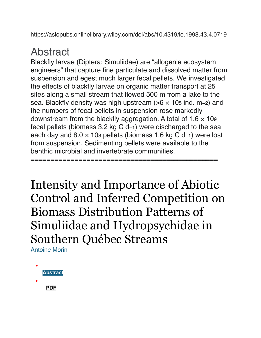https://aslopubs.onlinelibrary.wiley.com/doi/abs/10.4319/lo.1998.43.4.0719

# Abstract

Blackfly larvae (Diptera: Simuliidae) are "allogenie ecosystem engineers" that capture fine particulate and dissolved matter from suspension and egest much larger fecal pellets. We investigated the effects of blackfly larvae on organic matter transport at 25 sites along a small stream that flowed 500 m from a lake to the sea. Blackfly density was high upstream (>6 × 105 ind. m–2) and the numbers of fecal pellets in suspension rose markedly downstream from the blackfly aggregation. A total of  $1.6 \times 109$ fecal pellets (biomass 3.2 kg C d−1) were discharged to the sea each day and 8.0 × 108 pellets (biomass 1.6 kg C d−1) were lost from suspension. Sedimenting pellets were available to the benthic microbial and invertebrate communities.

Intensity and Importance of Abiotic Control and Inferred Competition on Biomass Distribution Patterns of Simuliidae and Hydropsychidae in Southern Québec Streams

===============================================

Antoine Morin

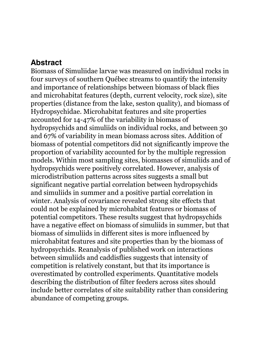### **Abstract**

Biomass of Simuliidae larvae was measured on individual rocks in four surveys of southern Québec streams to quantify the intensity and importance of relationships between biomass of black flies and microhabitat features (depth, current velocity, rock size), site properties (distance from the lake, seston quality), and biomass of Hydropsychidae. Microhabitat features and site properties accounted for 14-47% of the variability in biomass of hydropsychids and simuliids on individual rocks, and between 30 and 67% of variability in mean biomass across sites. Addition of biomass of potential competitors did not significantly improve the proportion of variability accounted for by the multiple regression models. Within most sampling sites, biomasses of simuliids and of hydropsychids were positively correlated. However, analysis of microdistribution patterns across sites suggests a small but significant negative partial correlation between hydropsychids and simuliids in summer and a positive partial correlation in winter. Analysis of covariance revealed strong site effects that could not be explained by microhabitat features or biomass of potential competitors. These results suggest that hydropsychids have a negative effect on biomass of simuliids in summer, but that biomass of simuliids in different sites is more influenced by microhabitat features and site properties than by the biomass of hydropsychids. Reanalysis of published work on interactions between simuliids and caddisflies suggests that intensity of competition is relatively constant, but that its importance is overestimated by controlled experiments. Quantitative models describing the distribution of filter feeders across sites should include better correlates of site suitability rather than considering abundance of competing groups.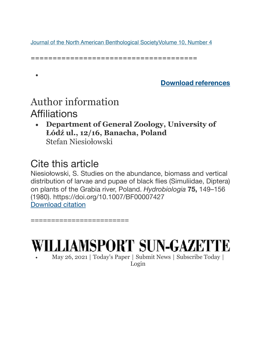[Journal of the North American Benthological Society](https://www.journals.uchicago.edu/journal/jnortamerbentsoc)[Volume 10, Number 4](https://www.journals.uchicago.edu/toc/jnortamerbentsoc/1991/10/4)

======================================

**[Download references](https://citation-needed.springer.com/v2/references/10.1007/BF00007427?format=refman&flavour=references)**

## Author information **Affiliations**

 $\bullet$ 

**• Department of General Zoology, University of Łódź ul., 12/16, Banacha, Poland** Stefan Niesiołowski

# Cite this article

========================

Niesiołowski, S. Studies on the abundance, biomass and vertical distribution of larvae and pupae of black flies (Simuliidae, Diptera) on plants of the Grabia river, Poland. *Hydrobiologia* **75,** 149–156 (1980). https://doi.org/10.1007/BF00007427 [Download citation](https://citation-needed.springer.com/v2/references/10.1007/BF00007427?format=refman&flavour=citation)

WILLIAMSPORT SUN-GAZETTE

• May 26, 2021 | [Today's Paper](https://www.mynewsonthego.com/gazette/) | [Submit News](https://www.sungazette.com/submit-news/) | [Subscribe Today](https://www.sungazette.com/subscribe/?ref=headerNav) |

[Login](javascript:loginBtn())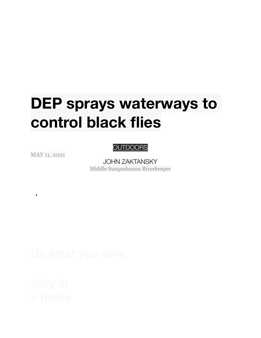# **DEP sprays waterways to control black flies**

**[OUTDOORS](https://www.sungazette.com/news/outdoors/)** 

MAY 11, 2021

•

JOHN ZAKTANSKY Middle Susquehanna Riverkeeper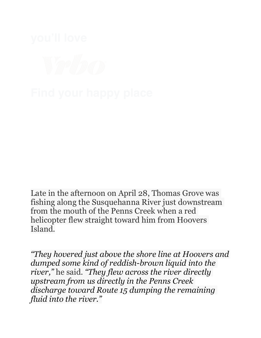Late in the afternoon on April 28, Thomas Grove was fishing along the Susquehanna River just downstream from the mouth of the Penns Creek when a red helicopter flew straight toward him from Hoovers Island.

*"They hovered just above the shore line at Hoovers and dumped some kind of reddish-brown liquid into the river,"* he said. *"They flew across the river directly upstream from us directly in the Penns Creek discharge toward Route 15 dumping the remaining fluid into the river."*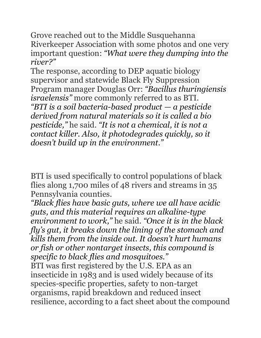Grove reached out to the Middle Susquehanna Riverkeeper Association with some photos and one very important question: *"What were they dumping into the river?"*

The response, according to DEP aquatic biology supervisor and statewide Black Fly Suppression Program manager Douglas Orr: *"Bacillus thuringiensis israelensis"* more commonly referred to as BTI. *"BTI is a soil bacteria-based product — a pesticide derived from natural materials so it is called a bio pesticide,"* he said. *"It is not a chemical, it is not a contact killer. Also, it photodegrades quickly, so it doesn't build up in the environment."*

BTI is used specifically to control populations of black flies along 1,700 miles of 48 rivers and streams in 35 Pennsylvania counties.

*"Black flies have basic guts, where we all have acidic guts, and this material requires an alkaline-type environment to work,"* he said. *"Once it is in the black fly's gut, it breaks down the lining of the stomach and kills them from the inside out. It doesn't hurt humans or fish or other nontarget insects, this compound is specific to black flies and mosquitoes."*

BTI was first registered by the U.S. EPA as an insecticide in 1983 and is used widely because of its species-specific properties, safety to non-target organisms, rapid breakdown and reduced insect resilience, according to a fact sheet about the compound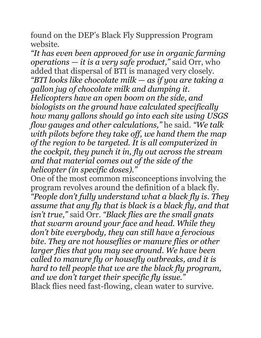found on the DEP's Black Fly Suppression Program website.

*"It has even been approved for use in organic farming operations — it is a very safe product,"* said Orr, who added that dispersal of BTI is managed very closely. *"BTI looks like chocolate milk — as if you are taking a gallon jug of chocolate milk and dumping it. Helicopters have an open boom on the side, and biologists on the ground have calculated specifically how many gallons should go into each site using USGS flow gauges and other calculations,"* he said. *"We talk with pilots before they take off, we hand them the map of the region to be targeted. It is all computerized in the cockpit, they punch it in, fly out across the stream and that material comes out of the side of the helicopter (in specific doses)."*

One of the most common misconceptions involving the program revolves around the definition of a black fly. *"People don't fully understand what a black fly is. They assume that any fly that is black is a black fly, and that isn't true,"* said Orr. *"Black flies are the small gnats that swarm around your face and head. While they don't bite everybody, they can still have a ferocious bite. They are not houseflies or manure flies or other larger flies that you may see around. We have been called to manure fly or housefly outbreaks, and it is hard to tell people that we are the black fly program, and we don't target their specific fly issue."* Black flies need fast-flowing, clean water to survive.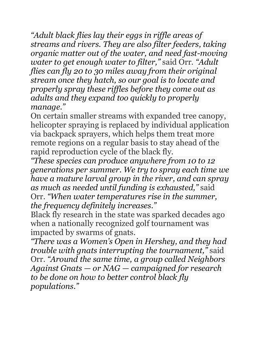*"Adult black flies lay their eggs in riffle areas of streams and rivers. They are also filter feeders, taking organic matter out of the water, and need fast-moving water to get enough water to filter,"* said Orr. *"Adult flies can fly 20 to 30 miles away from their original stream once they hatch, so our goal is to locate and properly spray these riffles before they come out as adults and they expand too quickly to properly manage."*

On certain smaller streams with expanded tree canopy, helicopter spraying is replaced by individual application via backpack sprayers, which helps them treat more remote regions on a regular basis to stay ahead of the rapid reproduction cycle of the black fly.

*"These species can produce anywhere from 10 to 12 generations per summer. We try to spray each time we have a mature larval group in the river, and can spray as much as needed until funding is exhausted,"* said Orr. *"When water temperatures rise in the summer, the frequency definitely increases."*

Black fly research in the state was sparked decades ago when a nationally recognized golf tournament was impacted by swarms of gnats.

*"There was a Women's Open in Hershey, and they had trouble with gnats interrupting the tournament,"* said Orr. *"Around the same time, a group called Neighbors Against Gnats — or NAG — campaigned for research to be done on how to better control black fly populations."*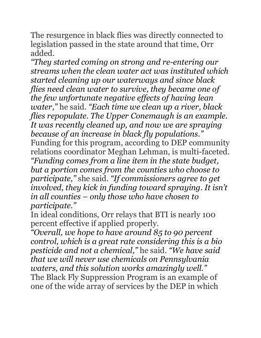The resurgence in black flies was directly connected to legislation passed in the state around that time, Orr added.

*"They started coming on strong and re-entering our streams when the clean water act was instituted which started cleaning up our waterways and since black flies need clean water to survive, they became one of the few unfortunate negative effects of having lean water,"* he said. *"Each time we clean up a river, black flies repopulate. The Upper Conemaugh is an example. It was recently cleaned up, and now we are spraying because of an increase in black fly populations."* Funding for this program, according to DEP community relations coordinator Meghan Lehman, is multi-faceted. *"Funding comes from a line item in the state budget, but a portion comes from the counties who choose to participate,"* she said. *"If commissioners agree to get involved, they kick in funding toward spraying. It isn't in all counties – only those who have chosen to participate."*

In ideal conditions, Orr relays that BTI is nearly 100 percent effective if applied properly.

*"Overall, we hope to have around 85 to 90 percent control, which is a great rate considering this is a bio pesticide and not a chemical,"* he said. *"We have said that we will never use chemicals on Pennsylvania waters, and this solution works amazingly well."* The Black Fly Suppression Program is an example of one of the wide array of services by the DEP in which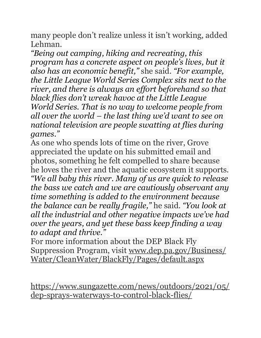many people don't realize unless it isn't working, added Lehman.

*"Being out camping, hiking and recreating, this program has a concrete aspect on people's lives, but it also has an economic benefit,"* she said. *"For example, the Little League World Series Complex sits next to the river, and there is always an effort beforehand so that black flies don't wreak havoc at the Little League World Series. That is no way to welcome people from all over the world – the last thing we'd want to see on national television are people swatting at flies during games."*

As one who spends lots of time on the river, Grove appreciated the update on his submitted email and photos, something he felt compelled to share because he loves the river and the aquatic ecosystem it supports. *"We all baby this river. Many of us are quick to release the bass we catch and we are cautiously observant any time something is added to the environment because the balance can be really fragile,"* he said. *"You look at all the industrial and other negative impacts we've had over the years, and yet these bass keep finding a way to adapt and thrive."*

For more information about the DEP Black Fly Suppression Program, visit [www.dep.pa.gov/Business/](http://www.dep.pa.gov/Business/Water/CleanWater/BlackFly/Pages/default.aspx) [Water/CleanWater/BlackFly/Pages/default.aspx](http://www.dep.pa.gov/Business/Water/CleanWater/BlackFly/Pages/default.aspx)

[https://www.sungazette.com/news/outdoors/2021/05/](https://www.sungazette.com/news/outdoors/2021/05/dep-sprays-waterways-to-control-black-flies/) [dep-sprays-waterways-to-control-black-flies/](https://www.sungazette.com/news/outdoors/2021/05/dep-sprays-waterways-to-control-black-flies/)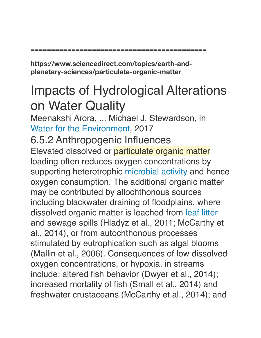**===========================================** 

**https://www.sciencedirect.com/topics/earth-andplanetary-sciences/particulate-organic-matter** 

# [Impacts of Hydrological Alterations](https://www.sciencedirect.com/science/article/pii/B9780128039076000061)  [on Water Quality](https://www.sciencedirect.com/science/article/pii/B9780128039076000061)

Meenakshi Arora, ... Michael J. Stewardson, in [Water for the Environment,](https://www.sciencedirect.com/book/9780128039076/water-for-the-environment) 2017

# 6.5.2 Anthropogenic Influences

Elevated dissolved or particulate organic matter loading often reduces oxygen concentrations by supporting heterotrophic [microbial activity](https://www.sciencedirect.com/topics/earth-and-planetary-sciences/microbial-activity) and hence oxygen consumption. The additional organic matter may be contributed by allochthonous sources including blackwater draining of floodplains, where dissolved organic matter is leached from [leaf litter](https://www.sciencedirect.com/topics/earth-and-planetary-sciences/leaf-litter) and sewage spills (Hladyz et al., 2011; McCarthy et al., 2014), or from autochthonous processes stimulated by eutrophication such as algal blooms (Mallin et al., 2006). Consequences of low dissolved oxygen concentrations, or hypoxia, in streams include: altered fish behavior (Dwyer et al., 2014); increased mortality of fish (Small et al., 2014) and freshwater crustaceans (McCarthy et al., 2014); and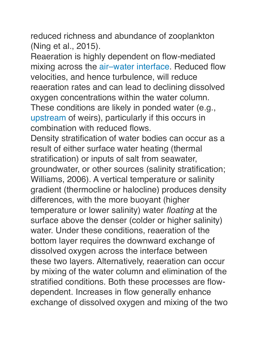reduced richness and abundance of zooplankton (Ning et al., 2015).

Reaeration is highly dependent on flow-mediated mixing across the [air–water interface.](https://www.sciencedirect.com/topics/earth-and-planetary-sciences/air-water-interface) Reduced flow velocities, and hence turbulence, will reduce reaeration rates and can lead to declining dissolved oxygen concentrations within the water column. These conditions are likely in ponded water (e.g.,

[upstream](https://www.sciencedirect.com/topics/earth-and-planetary-sciences/upstream) of weirs), particularly if this occurs in combination with reduced flows.

Density stratification of water bodies can occur as a result of either surface water heating (thermal stratification) or inputs of salt from seawater, groundwater, or other sources (salinity stratification; Williams, 2006). A vertical temperature or salinity gradient (thermocline or halocline) produces density differences, with the more buoyant (higher temperature or lower salinity) water *floating* at the surface above the denser (colder or higher salinity) water. Under these conditions, reaeration of the bottom layer requires the downward exchange of dissolved oxygen across the interface between these two layers. Alternatively, reaeration can occur by mixing of the water column and elimination of the stratified conditions. Both these processes are flowdependent. Increases in flow generally enhance exchange of dissolved oxygen and mixing of the two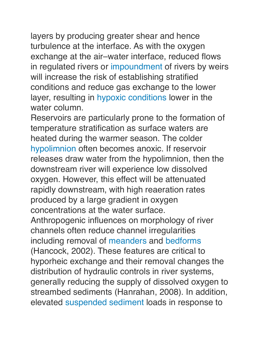layers by producing greater shear and hence turbulence at the interface. As with the oxygen exchange at the air–water interface, reduced flows in regulated rivers or [impoundment](https://www.sciencedirect.com/topics/earth-and-planetary-sciences/impoundment) of rivers by weirs will increase the risk of establishing stratified conditions and reduce gas exchange to the lower layer, resulting in [hypoxic conditions](https://www.sciencedirect.com/topics/earth-and-planetary-sciences/hypoxic-condition) lower in the water column.

Reservoirs are particularly prone to the formation of temperature stratification as surface waters are heated during the warmer season. The colder [hypolimnion](https://www.sciencedirect.com/topics/earth-and-planetary-sciences/hypolimnion) often becomes anoxic. If reservoir releases draw water from the hypolimnion, then the downstream river will experience low dissolved oxygen. However, this effect will be attenuated rapidly downstream, with high reaeration rates produced by a large gradient in oxygen concentrations at the water surface.

Anthropogenic influences on morphology of river channels often reduce channel irregularities including removal of [meanders](https://www.sciencedirect.com/topics/earth-and-planetary-sciences/meander) and [bedforms](https://www.sciencedirect.com/topics/earth-and-planetary-sciences/bedform) (Hancock, 2002). These features are critical to hyporheic exchange and their removal changes the distribution of hydraulic controls in river systems, generally reducing the supply of dissolved oxygen to streambed sediments (Hanrahan, 2008). In addition, elevated [suspended sediment](https://www.sciencedirect.com/topics/earth-and-planetary-sciences/suspended-sediment) loads in response to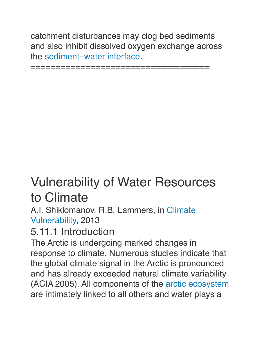catchment disturbances may clog bed sediments and also inhibit dissolved oxygen exchange across the [sediment–water interface.](https://www.sciencedirect.com/topics/earth-and-planetary-sciences/sediment-water-interface)

====================================

# [Vulnerability of Water Resources](https://www.sciencedirect.com/science/article/pii/B9780123847034005268)  [to Climate](https://www.sciencedirect.com/science/article/pii/B9780123847034005268)

A.I. Shiklomanov, R.B. Lammers, in [Climate](https://www.sciencedirect.com/referencework/9780123847041/climate-vulnerability)  [Vulnerability,](https://www.sciencedirect.com/referencework/9780123847041/climate-vulnerability) 2013

# 5.11.1 Introduction

The Arctic is undergoing marked changes in response to climate. Numerous studies indicate that the global climate signal in the Arctic is pronounced and has already exceeded natural climate variability (ACIA 2005). All components of the [arctic ecosystem](https://www.sciencedirect.com/topics/earth-and-planetary-sciences/arctic-ecosystem) are intimately linked to all others and water plays a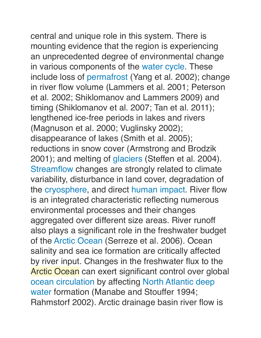central and unique role in this system. There is mounting evidence that the region is experiencing an unprecedented degree of environmental change in various components of the [water cycle](https://www.sciencedirect.com/topics/social-sciences/hydrological-cycle). These include loss of [permafrost](https://www.sciencedirect.com/topics/social-sciences/permafrost) (Yang et al. 2002); change in river flow volume (Lammers et al. 2001; Peterson et al. 2002; Shiklomanov and Lammers 2009) and timing (Shiklomanov et al. 2007; Tan et al. 2011); lengthened ice-free periods in lakes and rivers (Magnuson et al. 2000; Vuglinsky 2002); disappearance of lakes (Smith et al. 2005); reductions in snow cover (Armstrong and Brodzik 2001); and melting of [glaciers](https://www.sciencedirect.com/topics/social-sciences/glaciers) (Steffen et al. 2004). [Streamflow](https://www.sciencedirect.com/topics/earth-and-planetary-sciences/streamflow) changes are strongly related to climate variability, disturbance in land cover, degradation of the [cryosphere](https://www.sciencedirect.com/topics/earth-and-planetary-sciences/cryosphere), and direct [human impact](https://www.sciencedirect.com/topics/earth-and-planetary-sciences/anthropogenic-effect). River flow is an integrated characteristic reflecting numerous environmental processes and their changes aggregated over different size areas. River runoff also plays a significant role in the freshwater budget of the [Arctic Ocean](https://www.sciencedirect.com/topics/earth-and-planetary-sciences/arctic-ocean) (Serreze et al. 2006). Ocean salinity and sea ice formation are critically affected by river input. Changes in the freshwater flux to the Arctic Ocean can exert significant control over global [ocean circulation](https://www.sciencedirect.com/topics/social-sciences/ocean-circulation) by affecting [North Atlantic deep](https://www.sciencedirect.com/topics/earth-and-planetary-sciences/north-atlantic-deep-water)  [water](https://www.sciencedirect.com/topics/earth-and-planetary-sciences/north-atlantic-deep-water) formation (Manabe and Stouffer 1994; Rahmstorf 2002). Arctic drainage basin river flow is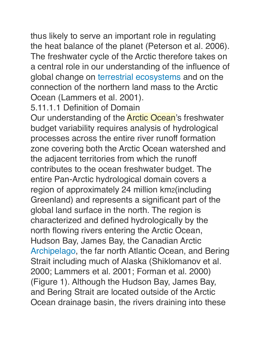thus likely to serve an important role in regulating the heat balance of the planet (Peterson et al. 2006). The freshwater cycle of the Arctic therefore takes on a central role in our understanding of the influence of global change on [terrestrial ecosystems](https://www.sciencedirect.com/topics/earth-and-planetary-sciences/terrestrial-ecosystem) and on the connection of the northern land mass to the Arctic Ocean (Lammers et al. 2001).

5.11.1.1 Definition of Domain

Our understanding of the **Arctic Ocean**'s freshwater budget variability requires analysis of hydrological processes across the entire river runoff formation zone covering both the Arctic Ocean watershed and the adjacent territories from which the runoff contributes to the ocean freshwater budget. The entire Pan-Arctic hydrological domain covers a region of approximately 24 million km2(including Greenland) and represents a significant part of the global land surface in the north. The region is characterized and defined hydrologically by the north flowing rivers entering the Arctic Ocean, Hudson Bay, James Bay, the Canadian Arctic [Archipelago,](https://www.sciencedirect.com/topics/earth-and-planetary-sciences/archipelago) the far north Atlantic Ocean, and Bering Strait including much of Alaska (Shiklomanov et al. 2000; Lammers et al. 2001; Forman et al. 2000) (Figure 1). Although the Hudson Bay, James Bay, and Bering Strait are located outside of the Arctic Ocean drainage basin, the rivers draining into these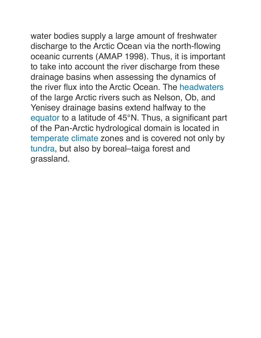water bodies supply a large amount of freshwater discharge to the Arctic Ocean via the north-flowing oceanic currents (AMAP 1998). Thus, it is important to take into account the river discharge from these drainage basins when assessing the dynamics of the river flux into the Arctic Ocean. The [headwaters](https://www.sciencedirect.com/topics/earth-and-planetary-sciences/headwater) of the large Arctic rivers such as Nelson, Ob, and Yenisey drainage basins extend halfway to the [equator](https://www.sciencedirect.com/topics/earth-and-planetary-sciences/equator) to a latitude of 45°N. Thus, a significant part of the Pan-Arctic hydrological domain is located in [temperate climate](https://www.sciencedirect.com/topics/earth-and-planetary-sciences/temperate-climate) zones and is covered not only by [tundra,](https://www.sciencedirect.com/topics/social-sciences/tundra) but also by boreal–taiga forest and grassland.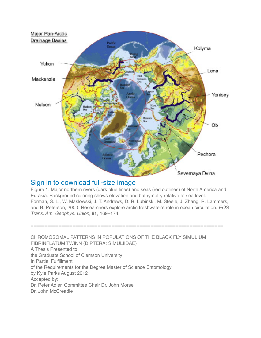

#### [Sign in to download full-size image](https://www.sciencedirect.com/user/login?returnURL=https%3A%2F%2Fwww.sciencedirect.com%2Ftopics%2Fsocial-sciences%2Farctic-ocean)

Figure 1. Major northern rivers (dark blue lines) and seas (red outlines) of North America and Eurasia. Background coloring shows elevation and bathymetry relative to sea level. Forman, S. L., W. Maslowski, J. T. Andrews, D. R. Lubinski, M. Steele, J. Zhang, R. Lammers, and B. Peterson, 2000: Researchers explore arctic freshwater's role in ocean circulation. *EOS Trans. Am. Geophys. Union*, **81**, 169–174.

=====================================================================

CHROMOSOMAL PATTERNS IN POPULATIONS OF THE BLACK FLY SIMULIUM FIBRINFLATUM TWINN (DIPTERA: SIMULIIDAE) A Thesis Presented to the Graduate School of Clemson University In Partial Fulfillment of the Requirements for the Degree Master of Science Entomology by Kyle Parks August 2012 Accepted by: Dr. Peter Adler, Committee Chair Dr. John Morse Dr. John McCreadie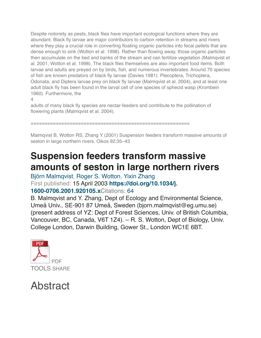Despite notoriety as pests, black flies have important ecological functions where they are abundant. Black fly larvae are major contributors to carbon retention in streams and rivers where they play a crucial role in converting floating organic particles into fecal pellets that are dense enough to sink (Wotton et al. 1998). Rather than flowing away, those organic particles then accumulate on the bed and banks of the stream and can fertilize vegetation (Malmqvist et al. 2001, Wotton et al. 1998). The black flies themselves are also important food items. Both larvae and adults are preyed on by birds, fish, and numerous invertebrates. Around 70 species of fish are known predators of black fly larvae (Davies 1981). Plecoptera, Trichoptera, Odonata, and Diptera larvae prey on black fly larvae (Malmqvist et al. 2004), and at least one adult black fly has been found in the larval cell of one species of sphecid wasp (Krombein 1960). Furthermore, the

4

adults of many black fly species are nectar-feeders and contribute to the pollination of flowering plants (Malmqvist et al. 2004).

=========================================================

Malmqvist B, Wotton RS, Zhang Y (2001) Suspension feeders transform massive amounts of seston in large northern rivers. Oikos 92:35–43

# **Suspension feeders transform massive amounts of seston in large northern rivers**

#### [Björn Malmqvist,](https://onlinelibrary.wiley.com/action/doSearch?ContribAuthorStored=Malmqvist%2C+Bj%C3%B6rn) [Roger S. Wotton,](https://onlinelibrary.wiley.com/action/doSearch?ContribAuthorStored=Wotton%2C+Roger+S) [Yixin Zhang](https://onlinelibrary.wiley.com/action/doSearch?ContribAuthorStored=Zhang%2C+Yixin) First published: 15 April 2003 **[https://doi.org/10.1034/j.](https://doi.org/10.1034/j.1600-0706.2001.920105.x) [1600-0706.2001.920105.x](https://doi.org/10.1034/j.1600-0706.2001.920105.x)**Citations: 64

B. Malmqvist and Y. Zhang, Dept of Ecology and Environmental Science, Umeå Univ., SE-901 87 Umeå, Sweden (bjorn.malmqvist@eg.umu.se) (present address of YZ: Dept of Forest Sciences, Univ. of British Columbia, Vancouver, BC, Canada, V6T 1Z4). – R. S. Wotton, Dept of Biology, Univ. College London, Darwin Building, Gower St., London WC1E 6BT.



# Abstract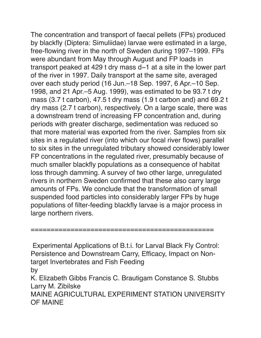The concentration and transport of faecal pellets (FPs) produced by blackfly (Diptera: Simuliidae) larvae were estimated in a large, free-flowing river in the north of Sweden during 1997–1999. FPs were abundant from May through August and FP loads in transport peaked at 429 t dry mass d−1 at a site in the lower part of the river in 1997. Daily transport at the same site, averaged over each study period (16 Jun.–18 Sep. 1997, 6 Apr.–10 Sep. 1998, and 21 Apr.–5 Aug. 1999), was estimated to be 93.7 t dry mass (3.7 t carbon), 47.5 t dry mass (1.9 t carbon and) and 69.2 t dry mass (2.7 t carbon), respectively. On a large scale, there was a downstream trend of increasing FP concentration and, during periods with greater discharge, sedimentation was reduced so that more material was exported from the river. Samples from six sites in a regulated river (into which our focal river flows) parallel to six sites in the unregulated tributary showed considerably lower FP concentrations in the regulated river, presumably because of much smaller blackfly populations as a consequence of habitat loss through damming. A survey of two other large, unregulated rivers in northern Sweden confirmed that these also carry large amounts of FPs. We conclude that the transformation of small suspended food particles into considerably larger FPs by huge populations of filter-feeding blackfly larvae is a major process in large northern rivers.

 Experimental Applications of B.t.i. for Larval Black Fly Control: Persistence and Downstream Carry, Efficacy, Impact on Nontarget Invertebrates and Fish Feeding by

==============================================

K. Elizabeth Gibbs Francis C. Brautigam Constance S. Stubbs Larry M. Zibilske

MAINE AGRICULTURAL EXPERIMENT STATION UNIVERSITY OF MAINE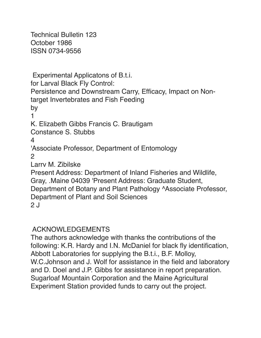Technical Bulletin 123 October 1986 ISSN 0734-9556

Experimental Applicatons of B.t.i.

for Larval Black Fly Control:

Persistence and Downstream Carry, Efficacy, Impact on Nontarget Invertebrates and Fish Feeding

by

1

K. Elizabeth Gibbs Francis C. Brautigam

Constance S. Stubbs

4

'Associate Professor, Department of Entomology

 $\mathcal{P}$ 

Larrv M. Zibilske

Present Address: Department of Inland Fisheries and Wildlife, Gray, .Maine 04039 'Present Address: Graduate Student, Department of Botany and Plant Pathology ^Associate Professor, Department of Plant and Soil Sciences

2 J

## ACKNOWLEDGEMENTS

The authors acknowledge with thanks the contributions of the following: K.R. Hardy and I.N. McDaniel for black fly identification, Abbott Laboratories for supplying the B.t.i., B.F. Molloy, W.C.Johnson and J. Wolf for assistance in the field and laboratory and D. Doel and J.P. Gibbs for assistance in report preparation. Sugarloaf Mountain Corporation and the Maine Agricultural Experiment Station provided funds to carry out the project.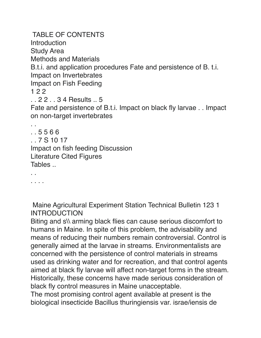TABLE OF CONTENTS **Introduction** Study Area Methods and Materials B.t.i. and application procedures Fate and persistence of B. t.i. Impact on Invertebrates Impact on Fish Feeding 1 2 2 . . 2 2 . . 3 4 Results .. 5 Fate and persistence of B.t.i. Impact on black fly larvae . . Impact on non-target invertebrates . . . . 5 5 6 6 . . 7 S 10 17

Impact on fish feeding Discussion Literature Cited Figures

Tables ..

. . . . . .

 Maine Agricultural Experiment Station Technical Bulletin 123 1 INTRODUCTION

Biting and s\\ arming black flies can cause serious discomfort to humans in Maine. In spite of this problem, the advisability and means of reducing their numbers remain controversial. Control is generally aimed at the larvae in streams. Environmentalists are concerned with the persistence of control materials in streams used as drinking water and for recreation, and that control agents aimed at black fly larvae will affect non-target forms in the stream. Historically, these concerns have made serious consideration of black fly control measures in Maine unacceptable. The most promising control agent available at present is the

biological insecticide Bacillus thuringiensis var. israe/iensis de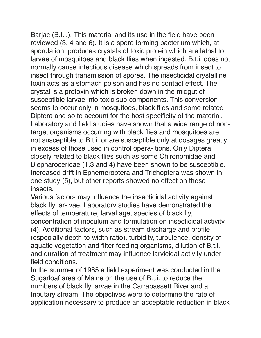Barjac (B.t.i.). This material and its use in the field have been reviewed (3, 4 and 6). It is a spore forming bacterium which, at sporulation, produces crystals of toxic protein which are lethal to larvae of mosquitoes and black flies when ingested. B.t.i. does not normally cause infectious disease which spreads from insect to insect through transmission of spores. The insecticidal crystalline toxin acts as a stomach poison and has no contact effect. The crystal is a protoxin which is broken down in the midgut of susceptible larvae into toxic sub-components. This conversion seems to occur only in mosquitoes, black flies and some related Diptera and so to account for the host specificity of the material. Laboratory and field studies have shown that a wide range of nontarget organisms occurring with black flies and mosquitoes are not susceptible to B.t.i. or are susceptible only at dosages greatly in excess of those used in control opera- tions. Only Diptera closely related to black flies such as some Chironomidae and Blepharoceridae (1,3 and 4) have been shown to be susceptible. Increased drift in Ephemeroptera and Trichoptera was shown in one study (5), but other reports showed no effect on these insects.

Various factors may influence the insecticidal activity against black fly lar- vae. Laboratorv studies have demonstrated the effects of temperature, larval age, species of black fly, concentration of inoculum and formulation on insecticidal activitv (4). Additional factors, such as stream discharge and profile (especially depth-to-width ratio), turbidity, turbulence, density of aquatic vegetation and filter feeding organisms, dilution of B.t.i. and duration of treatment may influence larvicidal activity under field conditions.

In the summer of 1985 a field experiment was conducted in the Sugarloaf area of Maine on the use of B.t.i. to reduce the numbers of black fly larvae in the Carrabassett River and a tributary stream. The objectives were to determine the rate of application necessary to produce an acceptable reduction in black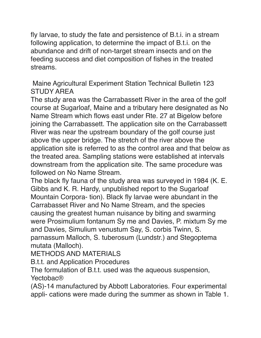fly larvae, to study the fate and persistence of B.t.i. in a stream following application, to determine the impact of B.t.i. on the abundance and drift of non-target stream insects and on the feeding success and diet composition of fishes in the treated streams.

 Maine Agricultural Experiment Station Technical Bulletin 123 STUDY AREA

The study area was the Carrabassett River in the area of the golf course at Sugarloaf, Maine and a tributary here designated as No Name Stream which flows east under Rte. 27 at Bigelow before joining the Carrabassett. The application site on the Carrabassett River was near the upstream boundary of the golf course just above the upper bridge. The stretch of the river above the application site is referred to as the control area and that below as the treated area. Sampling stations were established at intervals downstream from the application site. The same procedure was followed on No Name Stream.

The black fly fauna of the study area was surveyed in 1984 (K. E. Gibbs and K. R. Hardy, unpublished report to the Sugarloaf Mountain Corpora- tion). Black fly larvae were abundant in the Carrabasset River and No Name Stream, and the species causing the greatest human nuisance by biting and swarming were Prosimulium fontanum Sy me and Davies, P. mixtum Sy me and Davies, Simulium venustum Say, S. corbis Twinn, S. parnassum Malloch, S. tuberosum (Lundstr.) and Stegoptema mutata (Malloch).

METHODS AND MATERIALS

B.t.t. and Application Procedures

The formulation of B.t.t. used was the aqueous suspension, **Yectobac®** 

(AS)-14 manufactured by Abbott Laboratories. Four experimental appli- cations were made during the summer as shown in Table 1.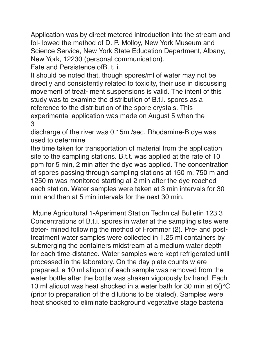Application was by direct metered introduction into the stream and fol- lowed the method of D. P. Molloy, New York Museum and Science Service, New York State Education Department, Albany, New York, 12230 (personal communication).

Fate and Persistence ofB. t. i.

It should be noted that, though spores/ml of water may not be directly and consistently related to toxicity, their use in discussing movement of treat- ment suspensions is valid. The intent of this study was to examine the distribution of B.t.i. spores as a reference to the distribution of the spore crystals. This experimental application was made on August 5 when the 3

discharge of the river was 0.15m /sec. Rhodamine-B dye was used to determine

the time taken for transportation of material from the application site to the sampling stations. B.t.t. was applied at the rate of 10 ppm for 5 min, 2 min after the dye was applied. The concentration of spores passing through sampling stations at 150 m, 750 m and 1250 m was monitored starting at 2 min after the dye reached each station. Water samples were taken at 3 min intervals for 30 min and then at 5 min intervals for the next 30 min.

 M;une Agricultural 1-Aperiment Station Technical Bulletin 123 3 Concentrations of B.t.i. spores in water at the sampling sites were deter- mined following the method of Frommer (2). Pre- and posttreatment water samples were collected in 1.25 ml containers by submerging the containers midstream at a medium water depth for each time-distance. Water samples were kept refrigerated until processed in the laboratory. On the day plate counts w ere prepared, a 10 ml aliquot of each sample was removed from the water bottle after the bottle was shaken vigorously bv hand. Each 10 ml aliquot was heat shocked in a water bath for 30 min at  $6()°C$ (prior to preparation of the dilutions to be plated). Samples were heat shocked to eliminate background vegetative stage bacterial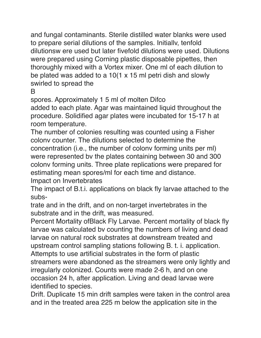and fungal contaminants. Sterile distilled water blanks were used to prepare serial dilutions of the samples. Initiallv, tenfold dilutionsw ere used but later fivefold dilutions were used. Dilutions were prepared using Corning plastic disposable pipettes, then thoroughly mixed with a Vortex mixer. One ml of each dilution to be plated was added to a 10(1 x 15 ml petri dish and slowly swirled to spread the

B

spores. Approximately 1 5 ml of molten Difco

added to each plate. Agar was maintained liquid throughout the procedure. Solidified agar plates were incubated for 15-17 h at room temperature.

The number of colonies resulting was counted using a Fisher colonv counter. The dilutions selected to determine the concentration (i.e., the number of colonv forming units per ml) were represented bv the plates containing between 30 and 300 colonv forming units. Three plate replications were prepared for estimating mean spores/ml for each time and distance. Impact on Invertebrates

The impact of B.t.i. applications on black fly larvae attached to the subs-

trate and in the drift, and on non-target invertebrates in the substrate and in the drift, was measured.

Percent Mortality ofBlack Fly Larvae. Percent mortality of black fly larvae was calculated bv counting the numbers of living and dead larvae on natural rock substrates at downstream treated and upstream control sampling stations following B. t. i. application.

Attempts to use artificial substrates in the form of plastic streamers were abandoned as the streamers were only lightly and irregularly colonized. Counts were made 2-6 h, and on one occasion 24 h, after application. Living and dead larvae were identified to species.

Drift. Duplicate 15 min drift samples were taken in the control area and in the treated area 225 m below the application site in the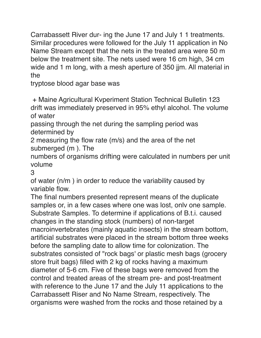Carrabassett River dur- ing the June 17 and July 1 1 treatments. Similar procedures were followed for the July 11 application in No Name Stream except that the nets in the treated area were 50 m below the treatment site. The nets used were 16 cm high, 34 cm wide and 1 m long, with a mesh aperture of 350 jim. All material in the

tryptose blood agar base was

 + Maine Agricultural Kvperiment Station Technical Bulletin 123 drift was immediately preserved in 95% ethyl alcohol. The volume of water

passing through the net during the sampling period was determined by

2 measuring the flow rate (m/s) and the area of the net submerged (m ). The

numbers of organisms drifting were calculated in numbers per unit volume

3

of water (n/m ) in order to reduce the variability caused by variable flow.

The final numbers presented represent means of the duplicate samples or, in a few cases where one was lost, onlv one sample. Substrate Samples. To determine if applications of B.t.i. caused changes in the standing stock (numbers) of non-target macroinvertebrates (mainly aquatic insects) in the stream bottom, artificial substrates were placed in the stream bottom three weeks before the sampling date to allow time for colonization. The substrates consisted of "rock bags' or plastic mesh bags (grocery store fruit bags) filled with 2 kg of rocks having a maximum diameter of 5-6 cm. Five of these bags were removed from the control and treated areas of the stream pre- and post-treatment with reference to the June 17 and the July 11 applications to the Carrabassett Riser and No Name Stream, respectively. The organisms were washed from the rocks and those retained by a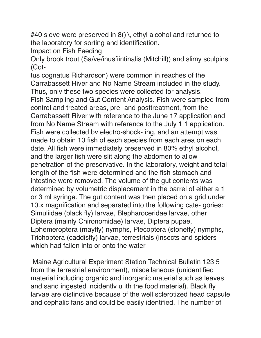#40 sieve were preserved in 8()'\, ethyl alcohol and returned to the laboratory for sorting and identification.

Impact on Fish Feeding

Only brook trout (Sa/ve/inusfiintinalis (Mitchill)) and slimy sculpins (Cot-

tus cognatus Richardson) were common in reaches of the Carrabassett River and No Name Stream included in the study. Thus, onlv these two species were collected for analysis. Fish Sampling and Gut Content Analysis. Fish were sampled from control and treated areas, pre- and posttreatment, from the Carrabassett River with reference to the June 17 application and from No Name Stream with reference to the July 1 1 application. Fish were collected bv electro-shock- ing, and an attempt was made to obtain 10 fish of each species from each area on each date. All fish were immediately preserved in 80% ethyl alcohol, and the larger fish were slit along the abdomen to allow penetration of the preservative. In the laboratory, weight and total length of the fish were determined and the fish stomach and intestine were removed. The volume of the gut contents was determined by volumetric displacement in the barrel of either a 1 or 3 ml syringe. The gut content was then placed on a grid under 10.x magnification and separated into the following cate- gories: Simuliidae (black fly) larvae, Blepharoceridae larvae, other Diptera (mainly Chironomidae) larvae, Diptera pupae, Ephemeroptera (mayfly) nymphs, Plecoptera (stonefly) nymphs, Trichoptera (caddisfly) larvae, terrestrials (insects and spiders which had fallen into or onto the water

 Maine Agricultural Experiment Station Technical Bulletin 123 5 from the terrestrial environment), miscellaneous (unidentified material including organic and inorganic material such as leaves and sand ingested incidentlv u ith the food material). Black fly larvae are distinctive because of the well sclerotized head capsule and cephalic fans and could be easily identified. The number of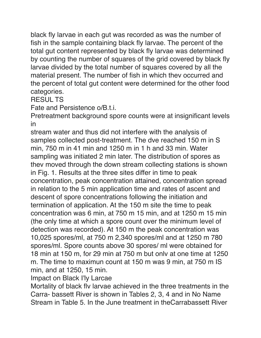black fly larvae in each gut was recorded as was the number of fish in the sample containing black fly larvae. The percent of the total gut content represented by black fly larvae was determined by counting the number of squares of the grid covered by black fly larvae divided by the total number of squares covered by all the material present. The number of fish in which thev occurred and the percent of total gut content were determined for the other food categories.

RESUL TS

Fate and Persistence o/B.t.i.

Pretreatment background spore counts were at insignificant levels in

stream water and thus did not interfere with the analysis of samples collected post-treatment. The dve reached 150 m in S min, 750 m in 41 min and 1250 m in 1 h and 33 min. Water sampling was initiated 2 min later. The distribution of spores as thev moved through the down stream collecting stations is shown in Fig. 1. Results at the three sites differ in time to peak concentration, peak concentration attained, concentration spread in relation to the 5 min application time and rates of ascent and descent of spore concentrations following the initiation and termination of application. At the 150 m site the time to peak concentration was 6 min, at 750 m 15 min, and at 1250 m 15 min (the only time at which a spore count over the minimum level of detection was recorded). At 150 m the peak concentration was 10,025 spores/ml, at 750 m 2,340 spores/ml and at 1250 m 780 spores/ml. Spore counts above 30 spores/ ml were obtained for 18 min at 150 m, for 29 min at 750 m but onlv at one time at 1250 m. The time to maximun count at 150 m was 9 min, at 750 m IS min, and at 1250, 15 min.

Impact on Black I'ly Larcae

Mortality of black flv larvae achieved in the three treatments in the Carra- bassett River is shown in Tables 2, 3, 4 and in No Name Stream in Table 5. In the June treatment in theCarrabassett River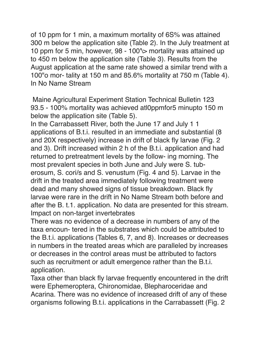of 10 ppm for 1 min, a maximum mortality of 6S% was attained 300 m below the application site (Table 2). In the July treatment at 10 ppm for 5 min, however, 98 - 100\> mortality was attained up to 450 m below the application site (Table 3). Results from the August application at the same rate showed a similar trend with a 100"o mor- tality at 150 m and 85.6% mortality at 750 m (Table 4). In No Name Stream

 Maine Agricultural Experiment Station Technical Bulletin 123 93.5 - 100% mortality was achieved atl0ppmfor5 minupto 150 m below the application site (Table 5).

In the Carrabassett River, both the June 17 and July 1 1 applications of B.t.i. resulted in an immediate and substantial (8 and 20X respectively) increase in drift of black fly larvae (Fig. 2 and 3). Drift increased within 2 h of the B.t.i. application and had returned to pretreatment levels by the follow- ing morning. The most prevalent species in both June and July were S. tuberosum, S. cori/s and S. venustum (Fig. 4 and 5). Larvae in the drift in the treated area immediately following treatment were dead and many showed signs of tissue breakdown. Black fly larvae were rare in the drift in No Name Stream both before and after the B. t.1. application. No data are presented for this stream. Impact on non-target invertebrates

There was no evidence of a decrease in numbers of any of the taxa encoun- tered in the substrates which could be attributed to the B.t.i. applications (Tables 6, 7, and 8). Increases or decreases in numbers in the treated areas which are paralleled by increases or decreases in the control areas must be attributed to factors such as recruitment or adult emergence rather than the B.t.i. application.

Taxa other than black fly larvae frequently encountered in the drift were Ephemeroptera, Chironomidae, Blepharoceridae and Acarina. There was no evidence of increased drift of any of these organisms following B.t.i. applications in the Carrabassett (Fig. 2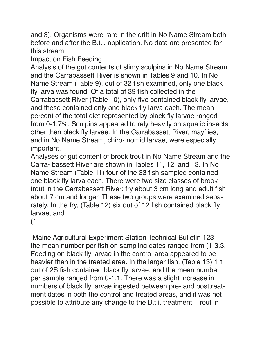and 3). Organisms were rare in the drift in No Name Stream both before and after the B.t.i. application. No data are presented for this stream.

Impact on Fish Feeding

Analysis of the gut contents of slimy sculpins in No Name Stream and the Carrabassett River is shown in Tables 9 and 10. In No Name Stream (Table 9), out of 32 fish examined, only one black fly larva was found. Of a total of 39 fish collected in the Carrabassett River (Table 10), only five contained black fly larvae, and these contained only one black fly larva each. The mean percent of the total diet represented by black fly larvae ranged from 0-1.7%. Sculpins appeared to rely heavily on aquatic insects other than black fly larvae. In the Carrabassett River, mayflies, and in No Name Stream, chiro- nomid larvae, were especially important.

Analyses of gut content of brook trout in No Name Stream and the Carra- bassett River are shown in Tables 11, 12, and 13. In No Name Stream (Table 11) four of the 33 fish sampled contained one black fly larva each. There were two size classes of brook trout in the Carrabassett River: fry about 3 cm long and adult fish about 7 cm and longer. These two groups were examined separately. In the fry, (Table 12) six out of 12 fish contained black fly larvae, and

 $(1)$ 

 Maine Agricultural Experiment Station Technical Bulletin 123 the mean number per fish on sampling dates ranged from (1-3.3. Feeding on black fly larvae in the control area appeared to be heavier than in the treated area. In the larger fish, (Table 13) 1 1 out of 2S fish contained black fly larvae, and the mean number per sample ranged from 0-1.1. There was a slight increase in numbers of black fly larvae ingested between pre- and posttreatment dates in both the control and treated areas, and it was not possible to attribute any change to the B.t.i. treatment. Trout in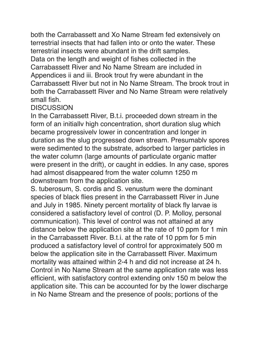both the Carrabassett and Xo Name Stream fed extensively on terrestrial insects that had fallen into or onto the water. These terrestrial insects were abundant in the drift samples. Data on the length and weight of fishes collected in the Carrabassett River and No Name Stream are included in Appendices ii and iii. Brook trout fry were abundant in the Carrabassett River but not in No Name Stream. The brook trout in both the Carrabassett River and No Name Stream were relatively small fish.

#### **DISCUSSION**

In the Carrabassett River, B.t.i. proceeded down stream in the form of an initiallv high concentration, short duration slug which became progressivelv lower in concentration and longer in duration as the slug progressed down stream. Presumablv spores were sedimented to the substrate, adsorbed to larger particles in the water column (large amounts of particulate organic matter were present in the drift), or caught in eddies. In any case, spores had almost disappeared from the water column 1250 m downstream from the application site.

S. tuberosum, S. cordis and S. venustum were the dominant species of black flies present in the Carrabassett River in June and July in 1985. Ninety percent mortality of black fly larvae is considered a satisfactory level of control (D. P. Molloy, personal communication). This level of control was not attained at any distance below the application site at the rate of 10 ppm for 1 min in the Carrabassett River. B.t.i. at the rate of 10 ppm for 5 min produced a satisfactory level of control for approximately 500 m below the application site in the Carrabassett River. Maximum mortality was attained within 2-4 h and did not increase at 24 h. Control in No Name Stream at the same application rate was less efficient, with satisfactory control extending onlv 150 m below the application site. This can be accounted for by the lower discharge in No Name Stream and the presence of pools; portions of the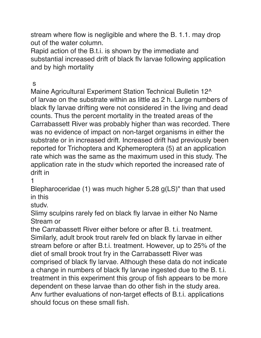stream where flow is negligible and where the B. 1.1. may drop out of the water column.

Rapid action of the B.t.i. is shown by the immediate and substantial increased drift of black flv larvae following application and by high mortality

s

Maine Agricultural Experiment Station Technical Bulletin 12^ of larvae on the substrate within as little as 2 h. Large numbers of black fly larvae drifting were not considered in the living and dead counts. Thus the percent mortality in the treated areas of the Carrabassett River was probably higher than was recorded. There was no evidence of impact on non-target organisms in either the substrate or in increased drift. Increased drift had previously been reported for Trichoptera and Kphemeroptera (5) at an application rate which was the same as the maximum used in this study. The application rate in the studv which reported the increased rate of drift in

1

Blepharoceridae (1) was much higher 5.28 g(LS)" than that used in this

studv.

Slimy sculpins rarely fed on black fly larvae in either No Name Stream or

the Carrabassett River either before or after B. t.i. treatment. Similarly, adult brook trout rarelv fed on black fly larvae in either stream before or after B.t.i. treatment. However, up to 25% of the diet of small brook trout fry in the Carrabassett River was comprised of black fly larvae. Although these data do not indicate a change in numbers of black fly larvae ingested due to the B. t.i. treatment in this experiment this group of fish appears to be more dependent on these larvae than do other fish in the study area. Anv further evaluations of non-target effects of B.t.i. applications should focus on these small fish.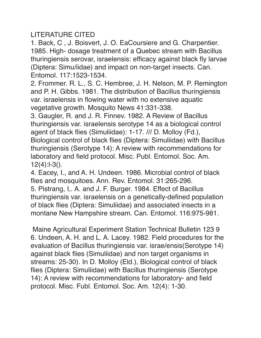#### LITERATURE CITED

1. Back, C , J. Boisvert, J. O. EaCoursiere and G. Charpentier. 1985. High- dosage treatment of a Quebec stream with Bacillus thuringiensis serovar, israelensis: efficacy against black fly larvae (Diptera: Simu/iidae) and impact on non-target insects. Can. Entomol. 117:1523-1534.

2. Frommer. R. L., S. C. Hembree, J. H. Nelson, M. P. Remington and P. H. Gibbs. 1981. The distribution of Bacillus thuringiensis var. israelensis in flowing water with no extensive aquatic vegetative growth. Mosquito News 41:331-338.

3. Gaugler, R. and J. R. Finnev. 1982. A Review of Bacillus thuringiensis var. israelensis serotype 14 as a biological control agent of black flies (Simuliidae): 1-17. /// D. Molloy (Fd.), Biological control of black flies (Diptera: Simuliidae) with Bacillus thuringiensis (Serotype 14): A review with recommendations for laboratory and field protocol. Misc. Publ. Entomol. Soc. Am.  $12(4):1-3()$ .

4. Eacey, I., and A. H. Undeen. 1986. Microbial control of black flies and mosquitoes. Ann. Rev. Entomol. 31:265-296.

5. Pistrang, I,. A. and J. F. Burger. 1984. Effect of Bacillus thuringiensis var. israelensis on a genetically-defined population of black flies (Diptera: Simuliidae) and associated insects in a montane New Hampshire stream. Can. Entomol. 116:975-981.

 Maine Agricultural Experiment Station Technical Bulletin 123 9 6. Undeen, A. H. and L. A. Lacey. 1982. Field procedures for the evaluation of Bacillus thuringiensis var. israe/ensis(Serotype 14) against black flies (Simuliidae) and non target organisms in streams: 25-30). In D. Molloy (Eld.), Biological control of black flies (Diptera: Simuliidae) with Bacillus thuringiensis (Serotype 14): A review with recommendations for laboratory- and field protocol. Misc. Fubl. Entomol. Soc. Am. 12(4): 1-30.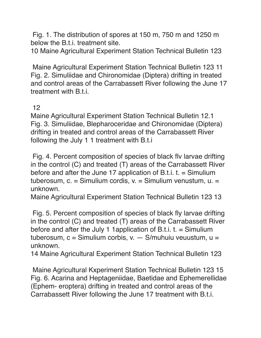Fig. 1. The distribution of spores at 150 m, 750 m and 1250 m below the B.t.i. treatment site.

10 Maine Agricultural Experiment Station Technical Bulletin 123

 Maine Agricultural Experiment Station Technical Bulletin 123 11 Fig. 2. Simuliidae and Chironomidae (Diptera) drifting in treated and control areas of the Carrabassett River following the June 17 treatment with B.t.i.

#### 12

Maine Agricultural Experiment Station Technical Bulletin 12.1 Fig. 3. Simuliidae, Blepharoceridae and Chironomidae (Diptera) drifting in treated and control areas of the Carrabassett River following the July 1 1 treatment with B.t.i

 Fig. 4. Percent composition of species of black flv larvae drifting in the control (C) and treated (T) areas of the Carrabassett River before and after the June 17 application of B.t.i.  $t =$  Simulium tuberosum,  $c =$  Simulium cordis,  $v =$  Simulium venustum,  $u =$ unknown.

Maine Agricultural Experiment Station Technical Bulletin 123 13

 Fig. 5. Percent composition of species of black fly larvae drifting in the control (C) and treated (T) areas of the Carrabassett River before and after the July 1 1application of B.t.i.  $t =$  Simulium tuberosum,  $c =$  Simulium corbis,  $v =$  S/muhuiu veuustum,  $u =$ unknown.

14 Maine Agricultural Experiment Station Technical Bulletin 123

 Maine Agricultural Kxperiment Station Technical Bulletin 123 15 Fig. 6. Acarina and Heptageniidae, Baetidae and Ephemerellidae (Ephem- eroptera) drifting in treated and control areas of the Carrabassett River following the June 17 treatment with B.t.i.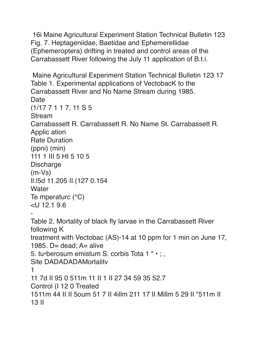16 Maine Agricultural Experiment Station Technical Bulletin 123 Fig. 7. Heptageniidae, Baetidae and Ephemerellidae (Ephemeroptera) drifting in treated and control areas of the Carrabassett River following the July 11 application of B.t.i.

```
Maine Agricultural Experiment Station Technical Bulletin 123 17
Table 1. Experimental applications of VectobacK to the
Carrabassett River and No Name Stream during 1985.
Date
(1/177117, 11S5Stream
Carrabassett R. Carrabassett R. No Name St. Carrabassett R.
Applic ation
Rate Duration
(ppni) (min)
111 1 III 5 HI 5 10 5
Discharge
(m-Vs)II.15d 11.205 II.(127 0.154
Water
Te mperaturc (^{\circ}C)<U 12.19.6
Table 2. Mortality of black fly larvae in the Carrabassett River
following K
treatment with Vectobac (AS)-14 at 10 ppm for 1 min on June 17,
1985. D = dead; A = alive5. tu•berosum emistum S. corbis Tota 1 " • ;
Site DADADADAMortality
\mathbf 111 7d II 95 0 511m 11 II 1 II 27 34 59 35 52.7
Control (I 12 0 Treated
1511m 44 II II 50um 51 7 II 4illm 211 17 II Millm 5 29 II "511m II
13 II
```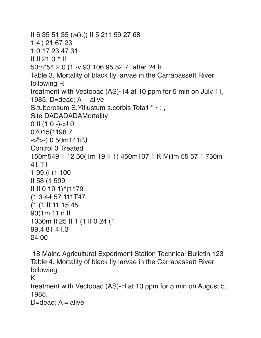$II 6 35 51 35 (>)().() II 5 211 59 27 68$ 1 4') 21 67 23 1 0 17 23 47 31  $II II 210$   $NI$ 50m\*54 2 0 (1 - v 93 106 95 52.7 "after 24 h Table 3. Mortality of black fly larvae in the Carrabassett River following R treatment with Vectobac (AS)-14 at 10 ppm for 5 min on July 11, 1985. D=dead;  $A$  -alive S.tuberosum S. Yifiustum s.corbis Tota1" • :. **Site DADADADAMortality**  $0 \parallel (1 \ 0 \ -) \rightarrow 0$ 07015(1198.7 ->">-) 0 50m141i"J **Control 0 Treated** 150m549 T 12 50(1m 19 II 1) 450m107 1 K Millm 55 57 1 750in 41 T1 1 99. (i (1 100 II 58 (1 599 II II 0 19 1) ^(1179  $(134457111T47$  $(1(1)$  | 11 15 45 90(1m 11 n II 1050m II 25 II 1 (1 II 0 24 (1 99.4 81 41.3 24 00

18 Maine Agricultural Experiment Station Technical Bulletin 123 Table 4. Mortality of black fly larvae in the Carrabassett River following K treatment with Vectobac (AS)-H at 10 ppm for 5 min on August 5, 1985. D=dead;  $A =$  alive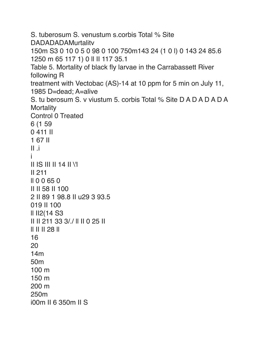```
S. tuberosum S. venustum s.corbis Total % Site
DADADADAMurtality
150m S3 0 10 0 5 0 98 0 100 750m143 24 (1 0 l) 0 143 24 85.6
1250 m 65 117 1) 0 ll ll 117 35.1
Table 5. Mortality of black fly larvae in the Carrabassett River
following R
treatment with Vectobac (AS)-14 at 10 ppm for 5 min on July 11,
1985 D=dead; A=alive
S. tu berosum S. v viustum 5. corbis Total % Site D A D A D A D A
Mortality
Control 0 Treated
6 (1 59
0411 II
167 II
II.i
i.
II IS III II 14 II VIII 211
II 0 0 65 0
II II 58 II 100
2 II 89 1 98 8 II u 29 3 93.5
019 || 100
II II2(14 S3
II II 211 33 3/./ II II 0 25 II
|| || || || 28 ||1620
14m50<sub>m</sub>100 \text{ m}150<sub>m</sub>200 m
250<sub>m</sub>
i00m II 6 350m II S
```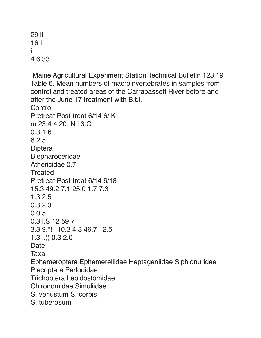```
29 ll
16 II
i
4 6 33
```
 Maine Agricultural Experiment Station Technical Bulletin 123 19 Table 6. Mean numbers of macroinvertebrates in samples from control and treated areas of the Carrabassett River before and after the June 17 treatment with B.t.i. **Control** Pretreat Post-treat 6/14 6/IK m 23.4 4 20. N i 3.Q 0.3 1.6 6 2.5 **Diptera** Blepharoceridae Athericidae 0.7 **Treated** Pretreat Post-treat 6/14 6/18 15.3 49.2 7.1 25.0 1.7 7.3 1.3 2.5 0.3 2.3 0 0.5 0.3 l.S 12 59.7 3.3 9."! 110.3 4.3 46.7 12.5 1.3 '.() 0.3 2.0 Date Taxa Ephemeroptera Ephemerellidae Heptageniidae Siphlonuridae Plecoptera Perlodidae Trichoptera Lepidostomidae Chironomidae Simuliidae S. venustum S. corbis S. tuberosum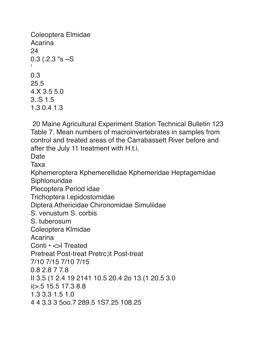```
Coleoptera Elmidae
Acarina
240.3 (.2.3 's \sim S0.325.5
4.X 3.5 5.0
3. S1.51.30.41.3
```
20 Maine Agricultural Experiment Station Technical Bulletin 123 Table 7. Mean numbers of macroinvertebrates in samples from control and treated areas of the Carrabassett River before and after the July 11 treatment with H.t.i. Date Таха Kphemeroptera Kphemerellidae Kphemeridae Heptagemidae Siphlonuridae Plecoptera Period idae Trichoptera l.epidostomidae Diptera Athericidae Chironomidae Simuliidae S. venustum S. corbis S. tuberosum Coleoptera Klmidae Acarina Conti · < > Treated **Pretreat Post-treat Pretrc; it Post-treat** 7/10 7/15 7/10 7/15 0.8 2.8 7 7.8 II 3.5 (1 2.4 19 2141 10.5 20.4 20 13.(1 20.5 3.0  $i(> 5 15.5 17.3 8.8)$ 1.3 3.3 1.5 1.0 4 4 3.3 3 500.7 289.5 1S7.25 108.25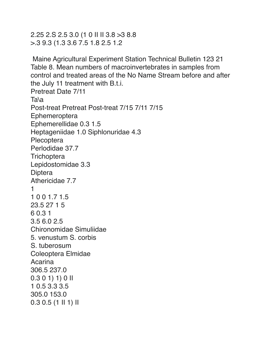2.25 2.S 2.5 3.0 (1 0 II II 3.8 >3 8.8 >.3 9.3 (1.3 3.6 7.5 1.8 2.5 1.2

 Maine Agricultural Experiment Station Technical Bulletin 123 21 Table 8. Mean numbers of macroinvertebrates in samples from control and treated areas of the No Name Stream before and after the July 11 treatment with B.t.i. Pretreat Date 7/11 Ta\a Post-treat Pretreat Post-treat 7/15 7/11 7/15 **Ephemeroptera** Ephemerellidae 0.3 1.5 Heptageniidae 1.0 Siphlonuridae 4.3 **Plecoptera** Perlodidae 37.7 **Trichoptera** Lepidostomidae 3.3 **Diptera** Athericidae 7.7 1 1 0 0 1.7 1.5 23.5 27 1 5 6 0.3 1 3.5 6.0 2.5 Chironomidae Simuliidae 5. venustum S. corbis S. tuberosum Coleoptera Elmidae Acarina 306.5 237.0 0.3 0 1) 1) 0 II 1 0.5 3.3 3.5 305.0 153.0

0.3 0.5 (1 II 1) II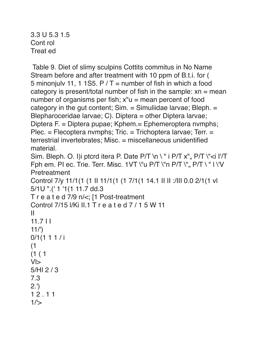3.3 U 5.3 1.5 Cont rol Treat ed

Table 9. Diet of slimy sculpins Cottits commitus in No Name Stream before and after treatment with 10 ppm of B.t.i. for ( 5 minonjuly 11, 1 1 S5.  $P/T =$  number of fish in which a food category is present/total number of fish in the sample:  $xn = mean$ number of organisms per fish;  $x''u$  = mean percent of food category in the gut content; Sim.  $=$  Simuliidae larvae; Bleph.  $=$ Blepharoceridae larvae; C). Diptera = other Diptera larvae; Diptera F. = Diptera pupae; Kphem. = Ephemeroptera nymphs; Plec. = Flecoptera nymphs; Tric. = Trichoptera larvae; Terr. = terrestrial invertebrates; Misc. = miscellaneous unidentified material.

```
Sim. Bleph. O. I)i ptcrd itera P. Date P/T \n \ " i P/T x", P/T \"<i I'/T
Fph em. PI ec. Trie. Terr. Misc. 1VT \"u P/T \"n P/T \", P/T \" I \"V
Pretreatment
```

```
Control 7/y 11/1(1 (1 ll 11/1(1 (1 7/1(1 14.1 ll ll ://ll 0.0 2/1(1 vl
5/1U ".(' 1 '1(1 11.7 dd.3)
Treated 7/9 n\ll; [1 Post-treatment
Control 7/15 I/Ki II.1 Treated 7/15 W 11
\mathbf{H}11.7||
11 /')
0/1(1 1 1 / i)(1)(1(1V >5/H12/37.32.12.111/5
```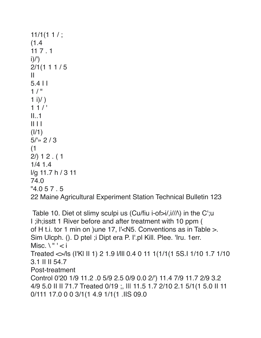```
11/1(1 1/;
(1.4)117.1i)/'2/1(111/5\mathbf{H}5.4 | |
1/"
1 i)/ )11/II...1|||(1/1)5'' > 2 / 3
(1)2/) 1 2 (1
1/4 1.4
I/g 11.7 h / 3 11
74.0
"4.057.522 Maine Agricultural Experiment Station Technical Bulletin 123
```

```
Table 10. Diet ot slimy sculpi us (Cu/fiu i-of i/, i///) in the C'; u
I ; ih; isstt 1 River before and after treatment with 10 ppm (
of H t.i. tor 1 min on ) une 17, I'<N5. Conventions as in Table >.
Sim Ulcph. (). D ptel ; i Dipt era P. I'.pl Kill. Plee. 'Iru. 1err.
Misc. \vee"' < i
Treated <a>/ls (I'KI II 1) 2 1.9 |/||| 0.4 0 11 1(1/1(1 5S.I 1/10 1.7 1/10
3.1 || || 54.7
Post-treatment
Control 0'20 1/9 11.2 .0 5/9 2.5 0/9 0.0 2/') 11.4 7/9 11.7 2/9 3.2
4/9 5.0 II II 71.7 Treated 0/19 ; III 11.5 1.7 2/10 2.1 5/1(1 5.0 II 11
0/111 17.0 0 0 3/1(1 4.9 1/1(1 .IIS 09.0
```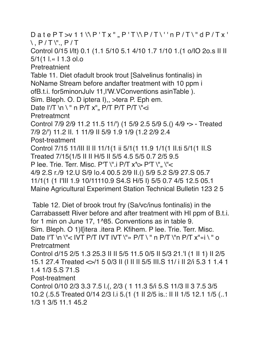DatePT>v11\\P'Tx",,P'T\\P/T\''nP/T\"dP/Tx'  $\langle P/T \rangle$ "..  $P/T$ Control 0/15 |/lt) 0.1 (1.1 5/10 5.1 4/10 1.7 1/10 1.(1 o/lO 2o.s | | |  $5/1(1 \times 11.3 \text{ ol.o})$ Pretreatnient Table 11. Diet of adult brook trout [Salvelinus fontinalis] in NoName Stream before and after treatment with 10 ppm i ofB.t.i. for5minonJuly 11.I'W.VConventions asinTable). Sim. Bleph. O. D iptera I), stera P. Eph em. Date I'/T \n \ " n P/T x", P/T P/T P/T \"<i Pretreatmcnt Control 7/9 2/9 11.2 11.5 11/<sup>'</sup>) (1 5/9 2.5 5/9 5.() 4/9 •> - Treated 7/9 2/') 11.2 II. 1 11/9 II 5/9 1.9 1/9 (1.2 2/9 2.4 Post-treatment Control 7/15 11/III II II 11/1(1 ii 5/1(1 11.9 1/1(1 II.ti 5/1(1 II.S Treated 7/15(1/5 II II H/5 II 5/5 4.5 5/5 0.7 2/5 9.5 P lee. Trie. Terr. Misc. P'T \".j P/T x'\> P'T \",, \"< 4/9 2.S r./9 12.U S/9 lo.4 00.5 2/9 II.() 5/9 5.2 S/9 27.S 05.7 11/1(1 (1 I'lll 1.9 10/11110.9 S4.S H/5 I) 5/5 0.7 4/5 12.5 05.1 Maine Agricultural Experiment Station Technical Bulletin 123 2 5

Table 12. Diet of brook trout fry (Sa/vc/inus fontinalis) in the Carrabassett River before and after treatment with HI ppm of B.t.i. for 1 min on June 17, 1^85. Conventions as in table 9. Sim. Bleph. O 1) I[itera .itera P. Kfihem. P lee. Trie. Terr. Misc. Date I'T \n \"< IVT P/T IVT IVT \">> P/T \" n P/T \"n P/T x" «i \" o Pretrcatment Control d/15 2/5 1.3 25.3 II II 5/5 11.5 0/5 II 5/3 21. II (1 II 1) II 2/5 15.1 27.4 Treated <>/1 5 0/3 II (I II II 5/5 III.S 11/ i II 2/i 5.3 1 1.4 1 1.4 1/3 5.S 71.S Post-treatment Control 0/10 2/3 3.3 7.5 l.(, 2/3 (111.3 5/i 5.S 11/3 ll 3 7.5 3/5 10.2 (.5.5 Treated 0/14 2/3 l.i 5.(1 (1 ll 2/5 is.: II II 1/5 12.1 1/5 (..1 1/3 1 3/5 11.1 45.2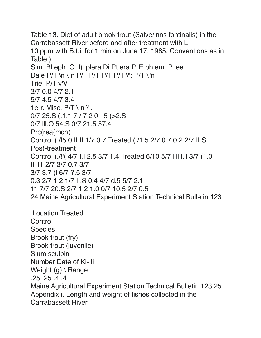Table 13. Diet of adult brook trout (Salve/inns fontinalis) in the Carrabassett River before and after treatment with L 10 ppm with B.t.i. for 1 min on June 17, 1985. Conventions as in Table). Sim. Bl eph. O. I) iplera Di Pt era P. E ph em. P lee. Dale  $P/T \in P/T$  PT  $P/T$   $P/T \in P/T$   $\vee$   $\vdots$   $P/T \in P/T$ Trie, P/T v'V 3/7 0.0 4/7 2.1 5/7 4.5 4/7 3.4 1err. Misc. P/T \"n \".  $0/7$  25.S (.1.1 7/7 2 0 .5 (>2.S 0/7 III.O 54.S 0/7 21.5 57.4 Prc(rea(mcn( Control (./15 0 II II 1/7 0.7 Treated (./1 5 2/7 0.7 0.2 2/7 II.S Pos(-treatment Control (./!' 4/7 I.I 2.5 3/7 1.4 Treated 6/10 5/7 I.II I.II 3/7 (1.0 II 11 2/7 3/7 0.7 3/7 3/7 3.7 (16/7 ?.5 3/7 0.3 2/7 1.2 1/7 II.S 0.4 4/7 d.5 5/7 2.1 11 7/7 20 S 2/7 1.2 1.0 0/7 10.5 2/7 0.5 24 Maine Agricultural Experiment Station Technical Bulletin 123 **Location Treated** Control **Species** Brook trout (fry) Brook trout (juvenile) Slum sculpin Number Date of Ki-Ji Weight  $(q) \setminus Range$ 

 $.25$   $.25$   $.4$   $.4$ 

Maine Agricultural Experiment Station Technical Bulletin 123 25 Appendix i. Length and weight of fishes collected in the **Carrabassett River.**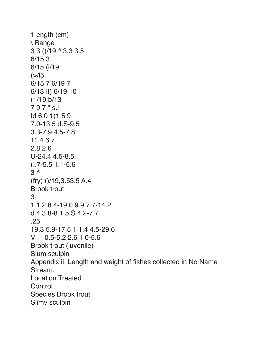1 ength (cm) \ Range 3 3 ()/19 ^ 3.3 3.5 6/15 3 6/15 (i/19  $(>\!15)$ 6/15 7 6/19 7 6/13 II) 6/19 10 (1/19 b/13 7 9.7 " s.l Id 6.0 1(1 5.9 7.0-13.5 d.S-9.5 3.3-7.9 4.5-7.8 11.4 6.7 2.8 2.6 U-24.4 4.5-8.5 (..7-5.5 1.1-5.6 3 ^ (fry) ()/19,3.53.5 A.4 Brook trout 3 1 1.2 8.4-19.0 9.9 7.7-14.2 d.4 3.8-8.1 5.S 4.2-7.7 .25 19.3 5.9-17.5 1 1.4 4.5-29.6 V .1 0.5-5.2 2.6 1 0-5.6 Brook trout (juvenile) Slum sculpin Appendix ii. Length and weight of fishes collected in No Name Stream. Location Treated **Control** Species Brook trout Slimv sculpin